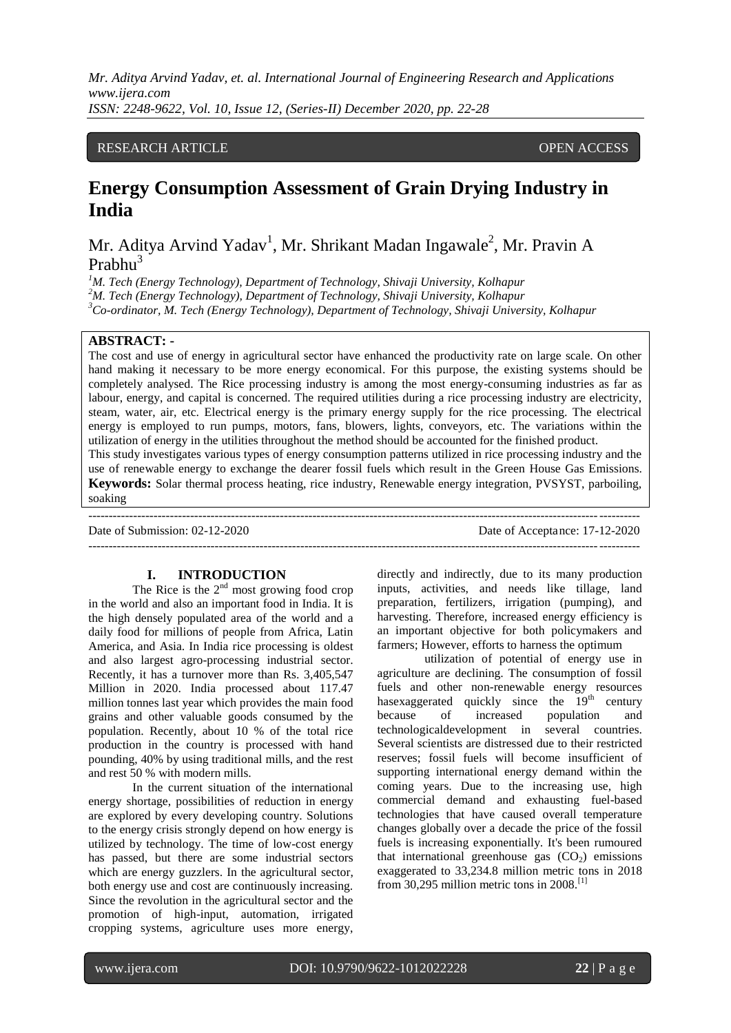### RESEARCH ARTICLE **ARTICLE** And the set of the set of the set of the set of the set of the set of the set of the set of the set of the set of the set of the set of the set of the set of the set of the set of the set of the

# **Energy Consumption Assessment of Grain Drying Industry in India**

Mr. Aditya Arvind Yadav<sup>1</sup>, Mr. Shrikant Madan Ingawale<sup>2</sup>, Mr. Pravin A Prahhu<sup>3</sup>

*<sup>1</sup>M. Tech (Energy Technology), Department of Technology, Shivaji University, Kolhapur <sup>2</sup>M. Tech (Energy Technology), Department of Technology, Shivaji University, Kolhapur <sup>3</sup>Co-ordinator, M. Tech (Energy Technology), Department of Technology, Shivaji University, Kolhapur*

# **ABSTRACT: -**

The cost and use of energy in agricultural sector have enhanced the productivity rate on large scale. On other hand making it necessary to be more energy economical. For this purpose, the existing systems should be completely analysed. The Rice processing industry is among the most energy-consuming industries as far as labour, energy, and capital is concerned. The required utilities during a rice processing industry are electricity, steam, water, air, etc. Electrical energy is the primary energy supply for the rice processing. The electrical energy is employed to run pumps, motors, fans, blowers, lights, conveyors, etc. The variations within the utilization of energy in the utilities throughout the method should be accounted for the finished product.

This study investigates various types of energy consumption patterns utilized in rice processing industry and the use of renewable energy to exchange the dearer fossil fuels which result in the Green House Gas Emissions. **Keywords:** Solar thermal process heating, rice industry, Renewable energy integration, PVSYST, parboiling, soaking

---------------------------------------------------------------------------------------------------------------------------------------

---------------------------------------------------------------------------------------------------------------------------------------

Date of Submission: 02-12-2020 Date of Acceptance: 17-12-2020

### **I. INTRODUCTION**

The Rice is the  $2<sup>nd</sup>$  most growing food crop in the world and also an important food in India. It is the high densely populated area of the world and a daily food for millions of people from Africa, Latin America, and Asia. In India rice processing is oldest and also largest agro-processing industrial sector. Recently, it has a turnover more than Rs. 3,405,547 Million in 2020. India processed about 117.47 million tonnes last year which provides the main food grains and other valuable goods consumed by the population. Recently, about 10 % of the total rice production in the country is processed with hand pounding, 40% by using traditional mills, and the rest and rest 50 % with modern mills.

In the current situation of the international energy shortage, possibilities of reduction in energy are explored by every developing country. Solutions to the energy crisis strongly depend on how energy is utilized by technology. The time of low-cost energy has passed, but there are some industrial sectors which are energy guzzlers. In the agricultural sector, both energy use and cost are continuously increasing. Since the revolution in the agricultural sector and the promotion of high-input, automation, irrigated cropping systems, agriculture uses more energy,

directly and indirectly, due to its many production inputs, activities, and needs like tillage, land preparation, fertilizers, irrigation (pumping), and harvesting. Therefore, increased energy efficiency is an important objective for both policymakers and farmers; However, efforts to harness the optimum

utilization of potential of energy use in agriculture are declining. The consumption of fossil fuels and other non-renewable energy resources has exaggerated quickly since the  $19<sup>th</sup>$  century because of increased population and technologicaldevelopment in several countries. Several scientists are distressed due to their restricted reserves; fossil fuels will become insufficient of supporting international energy demand within the coming years. Due to the increasing use, high commercial demand and exhausting fuel-based technologies that have caused overall temperature changes globally over a decade the price of the fossil fuels is increasing exponentially. It's been rumoured that international greenhouse gas  $(CO<sub>2</sub>)$  emissions exaggerated to 33,234.8 million metric tons in 2018 from 30,295 million metric tons in  $2008$ .<sup>[1]</sup>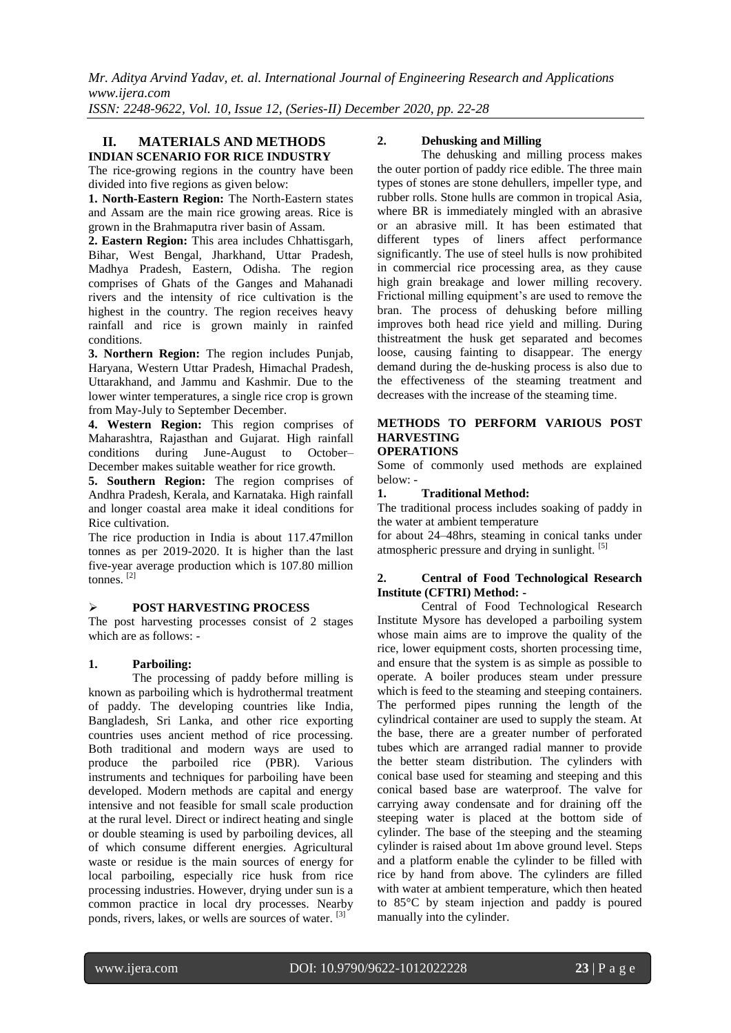*Mr. Aditya Arvind Yadav, et. al. International Journal of Engineering Research and Applications www.ijera.com*

*ISSN: 2248-9622, Vol. 10, Issue 12, (Series-II) December 2020, pp. 22-28*

# **II. MATERIALS AND METHODS INDIAN SCENARIO FOR RICE INDUSTRY**

The rice-growing regions in the country have been divided into five regions as given below:

**1. North-Eastern Region:** The North-Eastern states and Assam are the main rice growing areas. Rice is grown in the Brahmaputra river basin of Assam.

**2. Eastern Region:** This area includes Chhattisgarh, Bihar, West Bengal, Jharkhand, Uttar Pradesh, Madhya Pradesh, Eastern, Odisha. The region comprises of Ghats of the Ganges and Mahanadi rivers and the intensity of rice cultivation is the highest in the country. The region receives heavy rainfall and rice is grown mainly in rainfed conditions.

**3. Northern Region:** The region includes Punjab, Haryana, Western Uttar Pradesh, Himachal Pradesh, Uttarakhand, and Jammu and Kashmir. Due to the lower winter temperatures, a single rice crop is grown from May-July to September December.

**4. Western Region:** This region comprises of Maharashtra, Rajasthan and Gujarat. High rainfall conditions during June-August to October– December makes suitable weather for rice growth.

**5. Southern Region:** The region comprises of Andhra Pradesh, Kerala, and Karnataka. High rainfall and longer coastal area make it ideal conditions for Rice cultivation.

The rice production in India is about 117.47millon tonnes as per 2019-2020. It is higher than the last five-year average production which is 107.80 million tonnes. [2]

# **POST HARVESTING PROCESS**

The post harvesting processes consist of 2 stages which are as follows: -

# **1. Parboiling:**

The processing of paddy before milling is known as parboiling which is hydrothermal treatment of paddy. The developing countries like India, Bangladesh, Sri Lanka, and other rice exporting countries uses ancient method of rice processing. Both traditional and modern ways are used to produce the parboiled rice (PBR). Various instruments and techniques for parboiling have been developed. Modern methods are capital and energy intensive and not feasible for small scale production at the rural level. Direct or indirect heating and single or double steaming is used by parboiling devices, all of which consume different energies. Agricultural waste or residue is the main sources of energy for local parboiling, especially rice husk from rice processing industries. However, drying under sun is a common practice in local dry processes. Nearby ponds, rivers, lakes, or wells are sources of water. [3]

# **2. Dehusking and Milling**

The dehusking and milling process makes the outer portion of paddy rice edible. The three main types of stones are stone dehullers, impeller type, and rubber rolls. Stone hulls are common in tropical Asia, where BR is immediately mingled with an abrasive or an abrasive mill. It has been estimated that different types of liners affect performance significantly. The use of steel hulls is now prohibited in commercial rice processing area, as they cause high grain breakage and lower milling recovery. Frictional milling equipment's are used to remove the bran. The process of dehusking before milling improves both head rice yield and milling. During thistreatment the husk get separated and becomes loose, causing fainting to disappear. The energy demand during the de-husking process is also due to the effectiveness of the steaming treatment and decreases with the increase of the steaming time.

# **METHODS TO PERFORM VARIOUS POST HARVESTING**

# **OPERATIONS**

Some of commonly used methods are explained below: -

### **1. Traditional Method:**

The traditional process includes soaking of paddy in the water at ambient temperature

for about 24–48hrs, steaming in conical tanks under atmospheric pressure and drying in sunlight. [5]

### **2. Central of Food Technological Research Institute (CFTRI) Method: -**

Central of Food Technological Research Institute Mysore has developed a parboiling system whose main aims are to improve the quality of the rice, lower equipment costs, shorten processing time, and ensure that the system is as simple as possible to operate. A boiler produces steam under pressure which is feed to the steaming and steeping containers. The performed pipes running the length of the cylindrical container are used to supply the steam. At the base, there are a greater number of perforated tubes which are arranged radial manner to provide the better steam distribution. The cylinders with conical base used for steaming and steeping and this conical based base are waterproof. The valve for carrying away condensate and for draining off the steeping water is placed at the bottom side of cylinder. The base of the steeping and the steaming cylinder is raised about 1m above ground level. Steps and a platform enable the cylinder to be filled with rice by hand from above. The cylinders are filled with water at ambient temperature, which then heated to 85°C by steam injection and paddy is poured manually into the cylinder.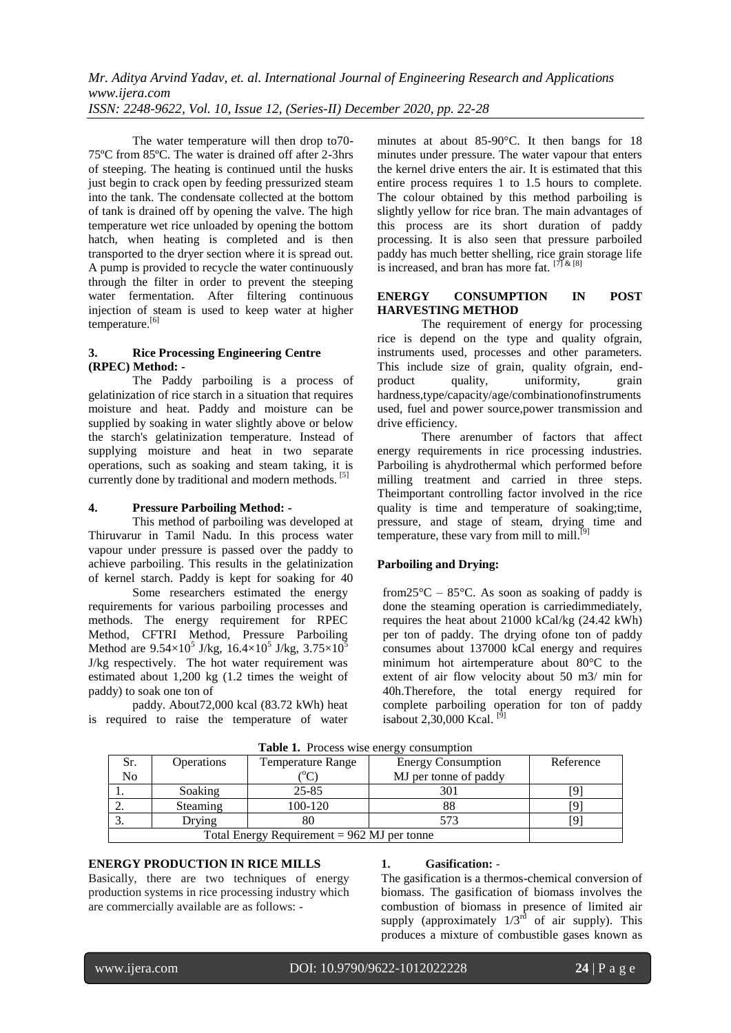The water temperature will then drop to70- 75ºC from 85ºC. The water is drained off after 2-3hrs of steeping. The heating is continued until the husks just begin to crack open by feeding pressurized steam into the tank. The condensate collected at the bottom of tank is drained off by opening the valve. The high temperature wet rice unloaded by opening the bottom hatch, when heating is completed and is then transported to the dryer section where it is spread out. A pump is provided to recycle the water continuously through the filter in order to prevent the steeping water fermentation. After filtering continuous injection of steam is used to keep water at higher temperature.[6]

### **3. Rice Processing Engineering Centre (RPEC) Method: -**

The Paddy parboiling is a process of gelatinization of rice starch in a situation that requires moisture and heat. Paddy and moisture can be supplied by soaking in water slightly above or below the starch's gelatinization temperature. Instead of supplying moisture and heat in two separate operations, such as soaking and steam taking, it is currently done by traditional and modern methods. [5]

### **4. Pressure Parboiling Method: -**

This method of parboiling was developed at Thiruvarur in Tamil Nadu. In this process water vapour under pressure is passed over the paddy to achieve parboiling. This results in the gelatinization of kernel starch. Paddy is kept for soaking for 40

Some researchers estimated the energy requirements for various parboiling processes and methods. The energy requirement for RPEC Method, CFTRI Method, Pressure Parboiling Method are  $9.54 \times 10^5$  J/kg,  $16.4 \times 10^5$  J/kg,  $3.75 \times 10^5$ J/kg respectively. The hot water requirement was estimated about 1,200 kg (1.2 times the weight of paddy) to soak one ton of

paddy. About72,000 kcal (83.72 kWh) heat is required to raise the temperature of water minutes at about 85-90°C. It then bangs for 18 minutes under pressure. The water vapour that enters the kernel drive enters the air. It is estimated that this entire process requires 1 to 1.5 hours to complete. The colour obtained by this method parboiling is slightly yellow for rice bran. The main advantages of this process are its short duration of paddy processing. It is also seen that pressure parboiled paddy has much better shelling, rice grain storage life is increased, and bran has more fat.  $[7]$  &  $[8]$ 

### **ENERGY CONSUMPTION IN POST HARVESTING METHOD**

The requirement of energy for processing rice is depend on the type and quality ofgrain, instruments used, processes and other parameters. This include size of grain, quality ofgrain, endproduct quality, uniformity, grain hardness,type/capacity/age/combinationofinstruments used, fuel and power source,power transmission and drive efficiency.

There arenumber of factors that affect energy requirements in rice processing industries. Parboiling is ahydrothermal which performed before milling treatment and carried in three steps. Theimportant controlling factor involved in the rice quality is time and temperature of soaking;time, pressure, and stage of steam, drying time and temperature, these vary from mill to mill.<sup>[9]</sup>

### **Parboiling and Drying:**

from  $25^{\circ}$ C –  $85^{\circ}$ C. As soon as soaking of paddy is done the steaming operation is carriedimmediately, requires the heat about 21000 kCal/kg (24.42 kWh) per ton of paddy. The drying ofone ton of paddy consumes about 137000 kCal energy and requires minimum hot airtemperature about 80°C to the extent of air flow velocity about 50 m3/ min for 40h.Therefore, the total energy required for complete parboiling operation for ton of paddy isabout 2,30,000 Kcal.<sup>[9]</sup>

| <b>THERE</b> Is 1100088 WHOC CHOIGHT CONSUMPTION |                   |                          |                           |           |
|--------------------------------------------------|-------------------|--------------------------|---------------------------|-----------|
| Sr.                                              | <b>Operations</b> | <b>Temperature Range</b> | <b>Energy Consumption</b> | Reference |
| N <sub>o</sub>                                   |                   |                          | MJ per tonne of paddy     |           |
|                                                  | Soaking           | 25-85                    | 301                       |           |
|                                                  | <b>Steaming</b>   | 100-120                  |                           |           |
|                                                  | Drving            |                          | 573                       |           |
| Total Energy Requirement = $962$ MJ per tonne    |                   |                          |                           |           |

**Table 1.** Process wise energy consumption

### **ENERGY PRODUCTION IN RICE MILLS**

Basically, there are two techniques of energy production systems in rice processing industry which are commercially available are as follows: -

#### **1. Gasification:** -

The gasification is a thermos-chemical conversion of biomass. The gasification of biomass involves the combustion of biomass in presence of limited air supply (approximately  $1/3^{rd}$  of air supply). This produces a mixture of combustible gases known as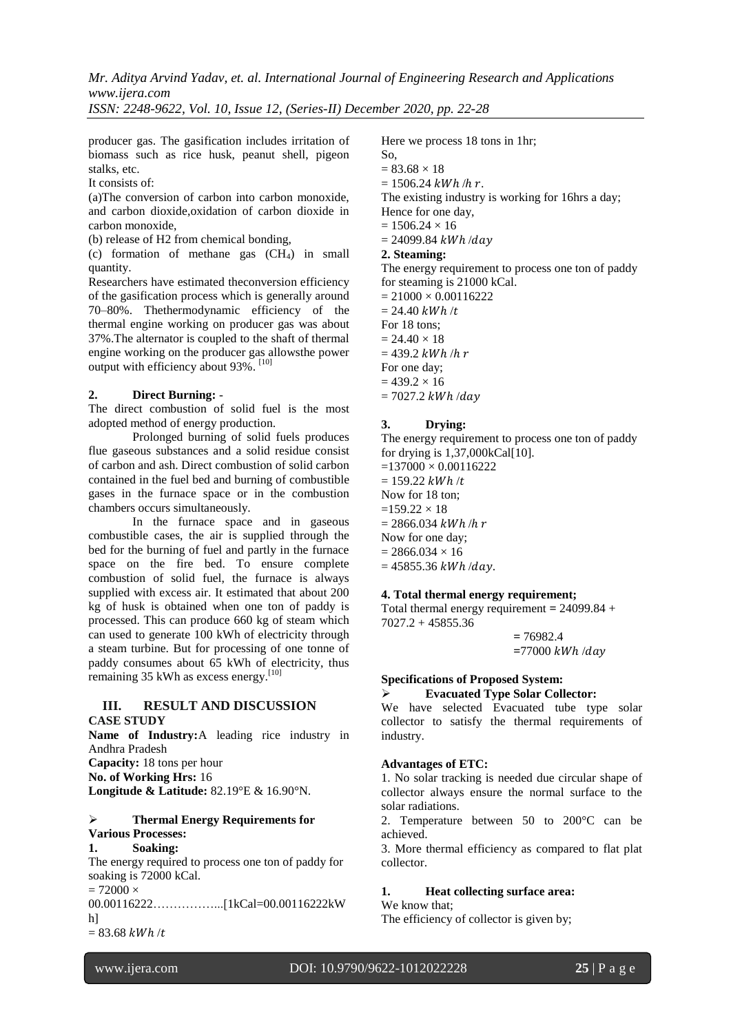*Mr. Aditya Arvind Yadav, et. al. International Journal of Engineering Research and Applications www.ijera.com*

*ISSN: 2248-9622, Vol. 10, Issue 12, (Series-II) December 2020, pp. 22-28*

producer gas. The gasification includes irritation of biomass such as rice husk, peanut shell, pigeon stalks, etc.

It consists of:

(a)The conversion of carbon into carbon monoxide, and carbon dioxide,oxidation of carbon dioxide in carbon monoxide,

(b) release of H2 from chemical bonding,

(c) formation of methane gas  $(CH<sub>4</sub>)$  in small quantity.

Researchers have estimated theconversion efficiency of the gasification process which is generally around 70–80%. Thethermodynamic efficiency of the thermal engine working on producer gas was about 37%.The alternator is coupled to the shaft of thermal engine working on the producer gas allowsthe power output with efficiency about 93%.<sup>[10]</sup>

### **2. Direct Burning:** -

The direct combustion of solid fuel is the most adopted method of energy production.

Prolonged burning of solid fuels produces flue gaseous substances and a solid residue consist of carbon and ash. Direct combustion of solid carbon contained in the fuel bed and burning of combustible gases in the furnace space or in the combustion chambers occurs simultaneously.

In the furnace space and in gaseous combustible cases, the air is supplied through the bed for the burning of fuel and partly in the furnace space on the fire bed. To ensure complete combustion of solid fuel, the furnace is always supplied with excess air. It estimated that about 200 kg of husk is obtained when one ton of paddy is processed. This can produce 660 kg of steam which can used to generate 100 kWh of electricity through a steam turbine. But for processing of one tonne of paddy consumes about 65 kWh of electricity, thus remaining 35 kWh as excess energy.<sup>[10]</sup>

# **III. RESULT AND DISCUSSION**

**CASE STUDY Name of Industry:**A leading rice industry in Andhra Pradesh **Capacity:** 18 tons per hour **No. of Working Hrs:** 16 **Longitude & Latitude:** 82.19°E & 16.90°N.

#### **Thermal Energy Requirements for Various Processes:**

# **1. Soaking:**

The energy required to process one ton of paddy for soaking is 72000 kCal.  $= 72000 \times$ 00.00116222……………...[1kCal=00.00116222kW h]

 $= 83.68$  kWh/t

I

Here we process 18 tons in 1hr;

- So,
- $= 83.68 \times 18$
- $= 1506.24$  kWh/h r.

The existing industry is working for 16hrs a day;

- Hence for one day,
- $= 1506.24 \times 16$
- $= 24099.84$  kWh/day

# **2. Steaming:**

The energy requirement to process one ton of paddy for steaming is 21000 kCal.

 $= 21000 \times 0.00116222$  $= 24.40$  kWh/t For 18 tons;  $= 24.40 \times 18$  $= 439.2$  kWh/h  $r$ For one day;  $= 439.2 \times 16$  $= 7027.2$  kWh/day

# **3. Drying:**

The energy requirement to process one ton of paddy for drying is 1,37,000kCal[10].  $=137000 \times 0.00116222$  $= 159.22$  kWh /t Now for 18 ton;  $=159.22 \times 18$  $= 2866.034$  kWh/h r Now for one day;  $= 2866.034 \times 16$  $= 45855.36$  kWh/day.

# **4. Total thermal energy requirement;**

Total thermal energy requirement **=** 24099.84 + 7027.2 + 45855.36

> **=** 76982.4  $=77000$   $kWh$  /day

# **Specifications of Proposed System:**

# **Evacuated Type Solar Collector:**

We have selected Evacuated tube type solar collector to satisfy the thermal requirements of industry.

### **Advantages of ETC:**

1. No solar tracking is needed due circular shape of collector always ensure the normal surface to the solar radiations.

2. Temperature between 50 to 200°C can be achieved.

3. More thermal efficiency as compared to flat plat collector.

### **1. Heat collecting surface area:**

### We know that;

The efficiency of collector is given by;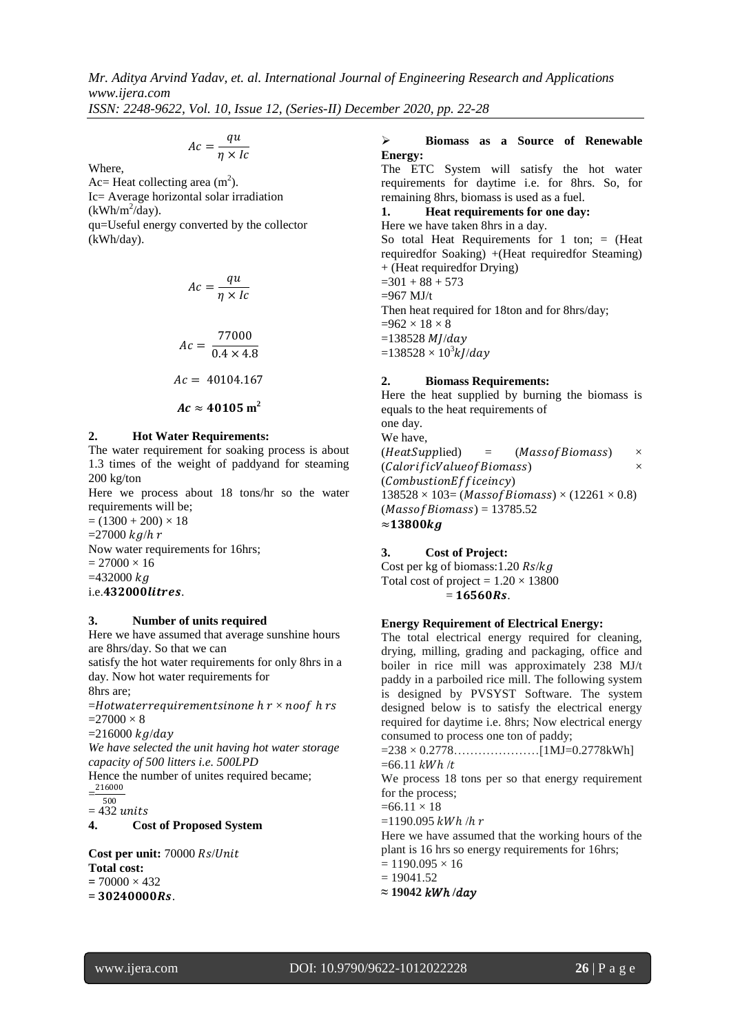$$
Ac = \frac{qu}{\eta \times lc}
$$

Where,

Ac= Heat collecting area  $(m^2)$ . Ic= Average horizontal solar irradiation  $(kWh/m^2/day)$ . qu=Useful energy converted by the collector (kWh/day).

$$
Ac = \frac{qu}{\eta \times lc}
$$

$$
Ac = \frac{77000}{0.4 \times 4.8}
$$

$$
Ac = 40104.167
$$

$$
Ac\approx 40105\ \text{m}^2
$$

# **2. Hot Water Requirements:**

The water requirement for soaking process is about 1.3 times of the weight of paddyand for steaming 200 kg/ton

Here we process about 18 tons/hr so the water requirements will be;

 $= (1300 + 200) \times 18$  $=27000$   $kg/h r$ Now water requirements for 16hrs;  $= 27000 \times 16$  $=432000 kg$ 

i.e.432000litres.

### **3. Number of units required**

Here we have assumed that average sunshine hours are 8hrs/day. So that we can satisfy the hot water requirements for only 8hrs in a

day. Now hot water requirements for 8hrs are;

 $=$ Hotwaterrequirementsinone  $h r \times n$ oof  $h rs$  $=27000 \times 8$ 

 $=216000$   $k$ a/day

*We have selected the unit having hot water storage capacity of 500 litters i.e. 500LPD*

Hence the number of unites required became;  $=\frac{216000}{500}$ 

500

 $= 432$  units

**4. Cost of Proposed System** 

**Cost per unit:** 70000 Rs/Unit **Total cost:**  $= 70000 \times 432$  $= 30240000Rs$ 

### **Biomass as a Source of Renewable Energy:**

The ETC System will satisfy the hot water requirements for daytime i.e. for 8hrs. So, for remaining 8hrs, biomass is used as a fuel.

**1. Heat requirements for one day:**

Here we have taken 8hrs in a day. So total Heat Requirements for 1 ton;  $=$  (Heat requiredfor Soaking) +(Heat requiredfor Steaming) + (Heat requiredfor Drying)  $=301 + 88 + 573$  $=967$  MJ/t Then heat required for 18ton and for 8hrs/day;  $=962\times18\times8$  $=138528$  MJ/day

 $=138528\times10^3$ kJ/day

# **2. Biomass Requirements:**

Here the heat supplied by burning the biomass is equals to the heat requirements of one day. We have,  $(HeatSupplied)$  =  $(MassofBiomass)$  ×  $(CalorificValue of Biomass)$   $\times$  $(CombustionEfficiency)$  $138528 \times 103 = (Mass of Biomass) \times (12261 \times 0.8)$  $(Massof \, \textit{Biomass}) = 13785.52$  $\approx$ 13800 $kg$ 

# **3. Cost of Project:**

Cost per kg of biomass: 1.20  $Rs/kg$ Total cost of project =  $1.20 \times 13800$  $= 16560Rs.$ 

# **Energy Requirement of Electrical Energy:**

The total electrical energy required for cleaning, drying, milling, grading and packaging, office and boiler in rice mill was approximately 238 MJ/t paddy in a parboiled rice mill. The following system is designed by PVSYST Software. The system designed below is to satisfy the electrical energy required for daytime i.e. 8hrs; Now electrical energy consumed to process one ton of paddy;

 $=238 \times 0.2778$ ………………………[1MJ=0.2778kWh]  $=66.11$  kWh/t

We process 18 tons per so that energy requirement for the process;

 $=66.11 \times 18$ 

 $=1190.095$  kWh/h r

Here we have assumed that the working hours of the plant is 16 hrs so energy requirements for 16hrs;

 $= 1190.095 \times 16$ 

- $= 19041.52$
- $≈ 19042$  *kWh* /*day*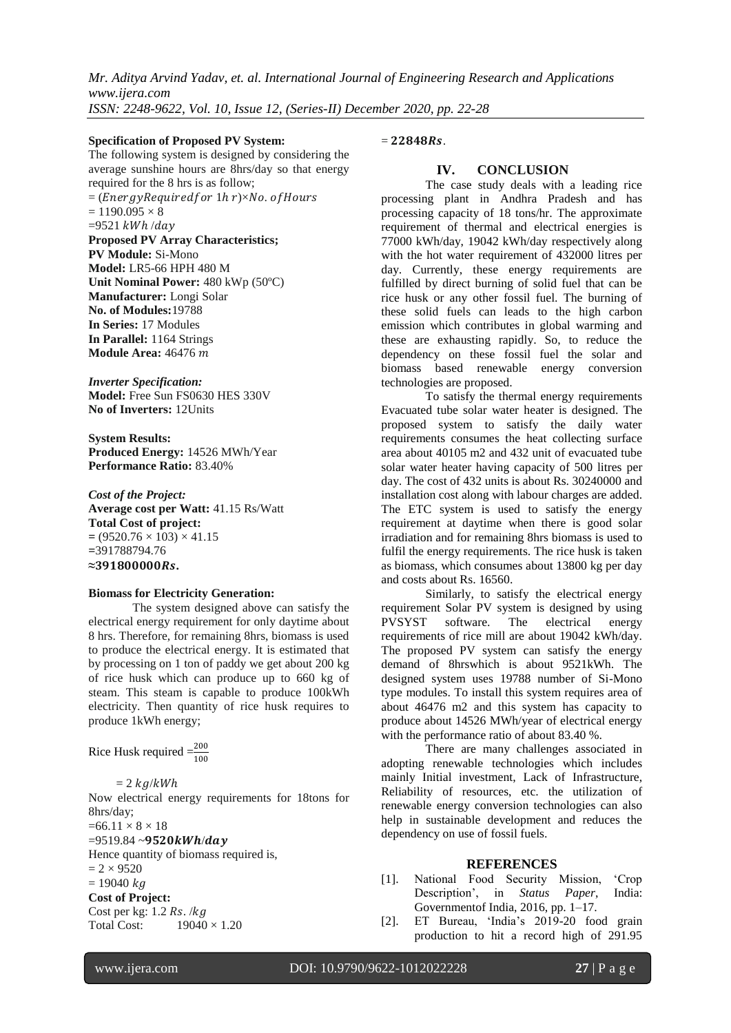### **Specification of Proposed PV System:**

The following system is designed by considering the average sunshine hours are 8hrs/day so that energy required for the 8 hrs is as follow;

 $=$  (*EnergyRequiredfor 1hr*) $\times$ *No. of Hours*  $= 1190.095 \times 8$ 

 $=9521$  kWh/day

**Proposed PV Array Characteristics; PV Module:** Si-Mono **Model:** LR5-66 HPH 480 M **Unit Nominal Power:** 480 kWp (50ºC) **Manufacturer:** Longi Solar **No. of Modules:**19788 **In Series:** 17 Modules **In Parallel:** 1164 Strings **Module Area:** 46476

*Inverter Specification:*

**Model:** Free Sun FS0630 HES 330V **No of Inverters:** 12Units

**System Results: Produced Energy:** 14526 MWh/Year **Performance Ratio:** 83.40%

*Cost of the Project:* **Average cost per Watt:** 41.15 Rs/Watt **Total Cost of project:**  $= (9520.76 \times 103) \times 41.15$ **=**391788794.76 **≈.**

### **Biomass for Electricity Generation:**

The system designed above can satisfy the electrical energy requirement for only daytime about 8 hrs. Therefore, for remaining 8hrs, biomass is used to produce the electrical energy. It is estimated that by processing on 1 ton of paddy we get about 200 kg of rice husk which can produce up to 660 kg of steam. This steam is capable to produce 100kWh electricity. Then quantity of rice husk requires to produce 1kWh energy;

Rice Husk required  $=\frac{200}{100}$ 

 $= 2$   $kg/kWh$ Now electrical energy requirements for 18tons for 8hrs/day;  $=66.11 \times 8 \times 18$  $=9519.84 - 9520kWh/day$ Hence quantity of biomass required is,  $= 2 \times 9520$  $= 19040 kq$ **Cost of Project:** Cost per kg: 1.2  $Rs.$  /kg Total Cost:  $19040 \times 1.20$ 

 $= 22848Rs.$ 

# **IV. CONCLUSION**

The case study deals with a leading rice processing plant in Andhra Pradesh and has processing capacity of 18 tons/hr. The approximate requirement of thermal and electrical energies is 77000 kWh/day, 19042 kWh/day respectively along with the hot water requirement of 432000 litres per day. Currently, these energy requirements are fulfilled by direct burning of solid fuel that can be rice husk or any other fossil fuel. The burning of these solid fuels can leads to the high carbon emission which contributes in global warming and these are exhausting rapidly. So, to reduce the dependency on these fossil fuel the solar and biomass based renewable energy conversion technologies are proposed.

To satisfy the thermal energy requirements Evacuated tube solar water heater is designed. The proposed system to satisfy the daily water requirements consumes the heat collecting surface area about 40105 m2 and 432 unit of evacuated tube solar water heater having capacity of 500 litres per day. The cost of 432 units is about Rs. 30240000 and installation cost along with labour charges are added. The ETC system is used to satisfy the energy requirement at daytime when there is good solar irradiation and for remaining 8hrs biomass is used to fulfil the energy requirements. The rice husk is taken as biomass, which consumes about 13800 kg per day and costs about Rs. 16560.

Similarly, to satisfy the electrical energy requirement Solar PV system is designed by using PVSYST software. The electrical energy requirements of rice mill are about 19042 kWh/day. The proposed PV system can satisfy the energy demand of 8hrswhich is about 9521kWh. The designed system uses 19788 number of Si-Mono type modules. To install this system requires area of about 46476 m2 and this system has capacity to produce about 14526 MWh/year of electrical energy with the performance ratio of about 83.40 %.

There are many challenges associated in adopting renewable technologies which includes mainly Initial investment, Lack of Infrastructure, Reliability of resources, etc. the utilization of renewable energy conversion technologies can also help in sustainable development and reduces the dependency on use of fossil fuels.

### **REFERENCES**

- [1]. National Food Security Mission, 'Crop Description', in *Status Paper*, India: Governmentof India, 2016, pp. 1–17.
- [2]. ET Bureau, 'India's  $2019-20$  food grain production to hit a record high of 291.95

I

www.ijera.com DOI: 10.9790/9622-1012022228 **27** | P a g e